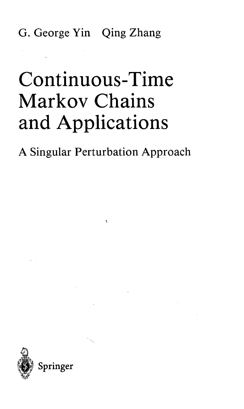G. George Yin Qing Zhang

## Continuous-Time Markov Chains and Applications

A Singular Perturbation Approach

 $\tilde{\mathbf{X}}$ 

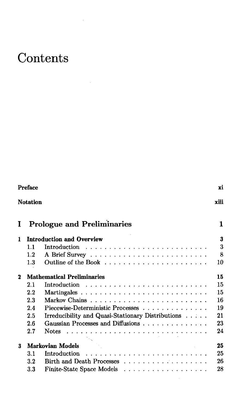## **Contents**

à.

 $\overline{\phantom{a}}$ 

| <b>Preface</b> |                                   |                                                                               |      |  |
|----------------|-----------------------------------|-------------------------------------------------------------------------------|------|--|
|                | <b>Notation</b>                   |                                                                               | xiii |  |
| I              |                                   | <b>Prologue and Preliminaries</b>                                             | 1    |  |
| 1              |                                   | <b>Introduction and Overview</b>                                              | 3    |  |
|                | 1.1                               |                                                                               | 3    |  |
|                | $1.2\,$                           |                                                                               | 8    |  |
|                | 1.3                               |                                                                               | 10   |  |
| $\mathbf 2$    | <b>Mathematical Preliminaries</b> |                                                                               |      |  |
|                | 2.1                               | Introduction $\ldots \ldots \ldots \ldots \ldots \ldots \ldots \ldots \ldots$ | 15   |  |
|                | $2.2\,$                           |                                                                               | 15   |  |
|                | 2.3                               |                                                                               | 16   |  |
|                | 2.4                               | Piecewise-Deterministic Processes                                             | 19   |  |
|                | 2.5                               | Irreducibility and Quasi-Stationary Distributions                             | 21   |  |
|                | 2.6                               | Gaussian Processes and Diffusions                                             | 23   |  |
|                | 2.7                               | <b>Notes</b>                                                                  | 24   |  |
| 3              |                                   | Markovian Models                                                              | 25   |  |
|                | 3.1                               | Introduction                                                                  | 25   |  |
|                | $3.2\,$                           |                                                                               | 26   |  |
|                | $3.3\,$                           | Finite-State Space Models                                                     | 28   |  |

 $\bar{\beta}$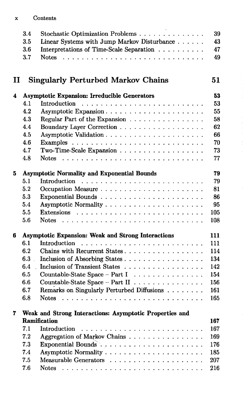## Contents  $\mathbf x$

| 3.4 | Stochastic Optimization Problems                   | -39 |
|-----|----------------------------------------------------|-----|
|     | 3.5 Linear Systems with Jump Markov Disturbance 43 |     |
|     | 3.6 Interpretations of Time-Scale Separation 47    |     |
| 3.7 |                                                    | 49  |
|     |                                                    |     |

## II Singularly Perturbed Markov Chains 51

| 4 |                                                    | Asymptotic Expansion: Irreducible Generators                 | 53  |  |  |
|---|----------------------------------------------------|--------------------------------------------------------------|-----|--|--|
|   | 4.1                                                |                                                              | 53  |  |  |
|   | 4.2                                                | Asymptotic Expansion                                         | 55  |  |  |
|   | 4.3                                                | Regular Part of the Expansion                                | 58  |  |  |
|   | 4.4                                                |                                                              | 62  |  |  |
|   | 4.5                                                |                                                              | 66  |  |  |
|   | 4.6                                                |                                                              | 70  |  |  |
|   | 4.7                                                | Two-Time-Scale Expansion                                     | 73  |  |  |
|   | 4.8                                                | <b>Notes</b>                                                 | 77  |  |  |
| 5 | <b>Asymptotic Normality and Exponential Bounds</b> |                                                              |     |  |  |
|   | 5.1                                                |                                                              | 79  |  |  |
|   | 5.2                                                |                                                              | 81  |  |  |
|   | 5.3                                                | Exponential Bounds                                           | 86  |  |  |
|   | 5.4                                                |                                                              | 95  |  |  |
|   | 5.5                                                |                                                              | 105 |  |  |
|   | 5.6                                                |                                                              | 108 |  |  |
| 6 |                                                    | <b>Asymptotic Expansion: Weak and Strong Interactions</b>    | 111 |  |  |
|   | 6.1                                                | <b>Introduction</b>                                          | 111 |  |  |
|   | 6.2                                                | Chains with Recurrent States                                 | 114 |  |  |
|   | 6.3                                                | Inclusion of Absorbing States                                | 134 |  |  |
|   | 6.4                                                | Inclusion of Transient States                                | 142 |  |  |
|   | 6.5                                                | Countable-State Space – Part I $\ldots \ldots \ldots \ldots$ | 154 |  |  |
|   | 6.6                                                | Countable-State Space - Part II                              | 156 |  |  |
|   | 6.7                                                | Remarks on Singularly Perturbed Diffusions                   | 161 |  |  |
|   | 6.8                                                | <b>Notes</b>                                                 | 165 |  |  |
| 7 |                                                    | Weak and Strong Interactions: Asymptotic Properties and      |     |  |  |

| Ramification |                                      |  |  |  |
|--------------|--------------------------------------|--|--|--|
| 7.1          | Introduction  167                    |  |  |  |
|              | 7.2 Aggregation of Markov Chains 169 |  |  |  |
|              |                                      |  |  |  |
| 7.4          |                                      |  |  |  |
| 7.5          |                                      |  |  |  |
| 7.6          |                                      |  |  |  |